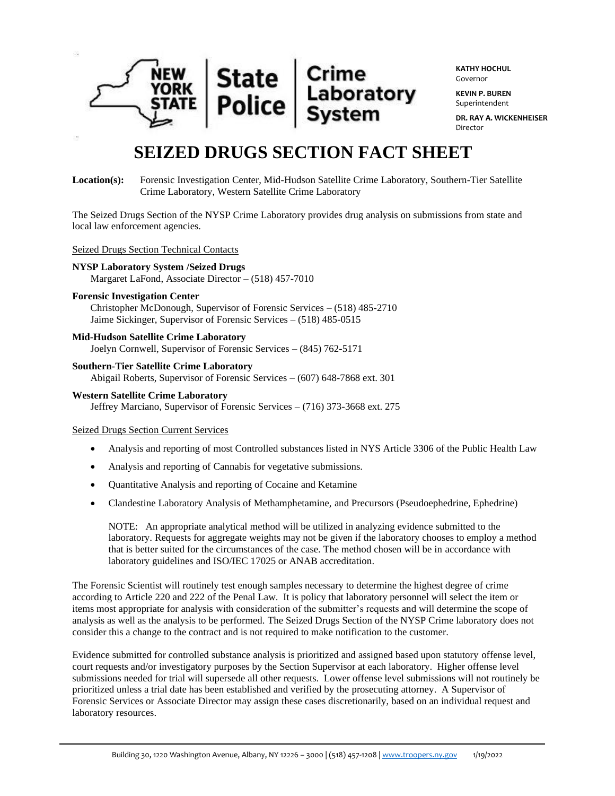

**KATHY HOCHUL** Governor

**KEVIN P. BUREN** Superintendent

**DR. RAY A. WICKENHEISER** Director

# **SEIZED DRUGS SECTION FACT SHEET**

# **Location(s):** Forensic Investigation Center, Mid-Hudson Satellite Crime Laboratory, Southern-Tier Satellite Crime Laboratory, Western Satellite Crime Laboratory

The Seized Drugs Section of the NYSP Crime Laboratory provides drug analysis on submissions from state and local law enforcement agencies.

#### Seized Drugs Section Technical Contacts

### **NYSP Laboratory System /Seized Drugs**

Margaret LaFond, Associate Director – (518) 457-7010

#### **Forensic Investigation Center**

Christopher McDonough, Supervisor of Forensic Services – (518) 485-2710 Jaime Sickinger, Supervisor of Forensic Services – (518) 485-0515

## **Mid-Hudson Satellite Crime Laboratory**

Joelyn Cornwell, Supervisor of Forensic Services – (845) 762-5171

### **Southern-Tier Satellite Crime Laboratory**

Abigail Roberts, Supervisor of Forensic Services – (607) 648-7868 ext. 301

#### **Western Satellite Crime Laboratory** Jeffrey Marciano, Supervisor of Forensic Services – (716) 373-3668 ext. 275

### Seized Drugs Section Current Services

- Analysis and reporting of most Controlled substances listed in NYS Article 3306 of the Public Health Law
- Analysis and reporting of Cannabis for vegetative submissions.
- Quantitative Analysis and reporting of Cocaine and Ketamine
- Clandestine Laboratory Analysis of Methamphetamine, and Precursors (Pseudoephedrine, Ephedrine)

NOTE: An appropriate analytical method will be utilized in analyzing evidence submitted to the laboratory. Requests for aggregate weights may not be given if the laboratory chooses to employ a method that is better suited for the circumstances of the case. The method chosen will be in accordance with laboratory guidelines and ISO/IEC 17025 or ANAB accreditation.

The Forensic Scientist will routinely test enough samples necessary to determine the highest degree of crime according to Article 220 and 222 of the Penal Law. It is policy that laboratory personnel will select the item or items most appropriate for analysis with consideration of the submitter's requests and will determine the scope of analysis as well as the analysis to be performed. The Seized Drugs Section of the NYSP Crime laboratory does not consider this a change to the contract and is not required to make notification to the customer.

Evidence submitted for controlled substance analysis is prioritized and assigned based upon statutory offense level, court requests and/or investigatory purposes by the Section Supervisor at each laboratory. Higher offense level submissions needed for trial will supersede all other requests. Lower offense level submissions will not routinely be prioritized unless a trial date has been established and verified by the prosecuting attorney. A Supervisor of Forensic Services or Associate Director may assign these cases discretionarily, based on an individual request and laboratory resources.